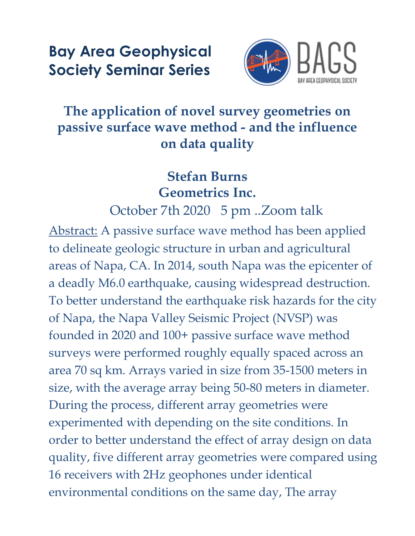## **Bay Area Geophysical Society Seminar Series**



## **The application of novel survey geometries on passive surface wave method - and the influence on data quality**

## **Stefan Burns Geometrics Inc.**

October 7th 2020 5 pm ..Zoom talk

Abstract: A passive surface wave method has been applied to delineate geologic structure in urban and agricultural areas of Napa, CA. In 2014, south Napa was the epicenter of a deadly M6.0 earthquake, causing widespread destruction. To better understand the earthquake risk hazards for the city of Napa, the Napa Valley Seismic Project (NVSP) was founded in 2020 and 100+ passive surface wave method surveys were performed roughly equally spaced across an area 70 sq km. Arrays varied in size from 35-1500 meters in size, with the average array being 50-80 meters in diameter. During the process, different array geometries were experimented with depending on the site conditions. In order to better understand the effect of array design on data quality, five different array geometries were compared using 16 receivers with 2Hz geophones under identical environmental conditions on the same day, The array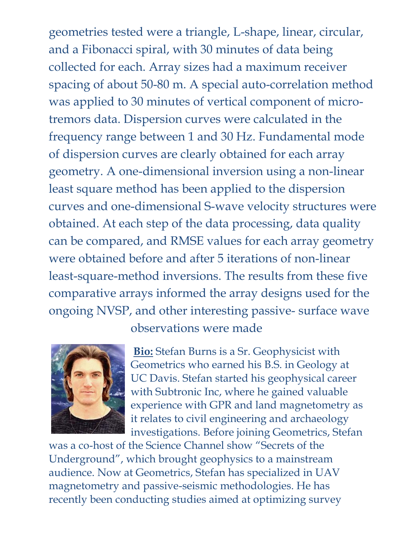geometries tested were a triangle, L-shape, linear, circular, and a Fibonacci spiral, with 30 minutes of data being collected for each. Array sizes had a maximum receiver spacing of about 50-80 m. A special auto-correlation method was applied to 30 minutes of vertical component of microtremors data. Dispersion curves were calculated in the frequency range between 1 and 30 Hz. Fundamental mode of dispersion curves are clearly obtained for each array geometry. A one-dimensional inversion using a non-linear least square method has been applied to the dispersion curves and one-dimensional S-wave velocity structures were obtained. At each step of the data processing, data quality can be compared, and RMSE values for each array geometry were obtained before and after 5 iterations of non-linear least-square-method inversions. The results from these five comparative arrays informed the array designs used for the ongoing NVSP, and other interesting passive- surface wave



observations were made

**Bio:** Stefan Burns is a Sr. Geophysicist with Geometrics who earned his B.S. in Geology at UC Davis. Stefan started his geophysical career with Subtronic Inc, where he gained valuable experience with GPR and land magnetometry as it relates to civil engineering and archaeology investigations. Before joining Geometrics, Stefan

was a co-host of the Science Channel show "Secrets of the Underground", which brought geophysics to a mainstream audience. Now at Geometrics, Stefan has specialized in UAV magnetometry and passive-seismic methodologies. He has recently been conducting studies aimed at optimizing survey